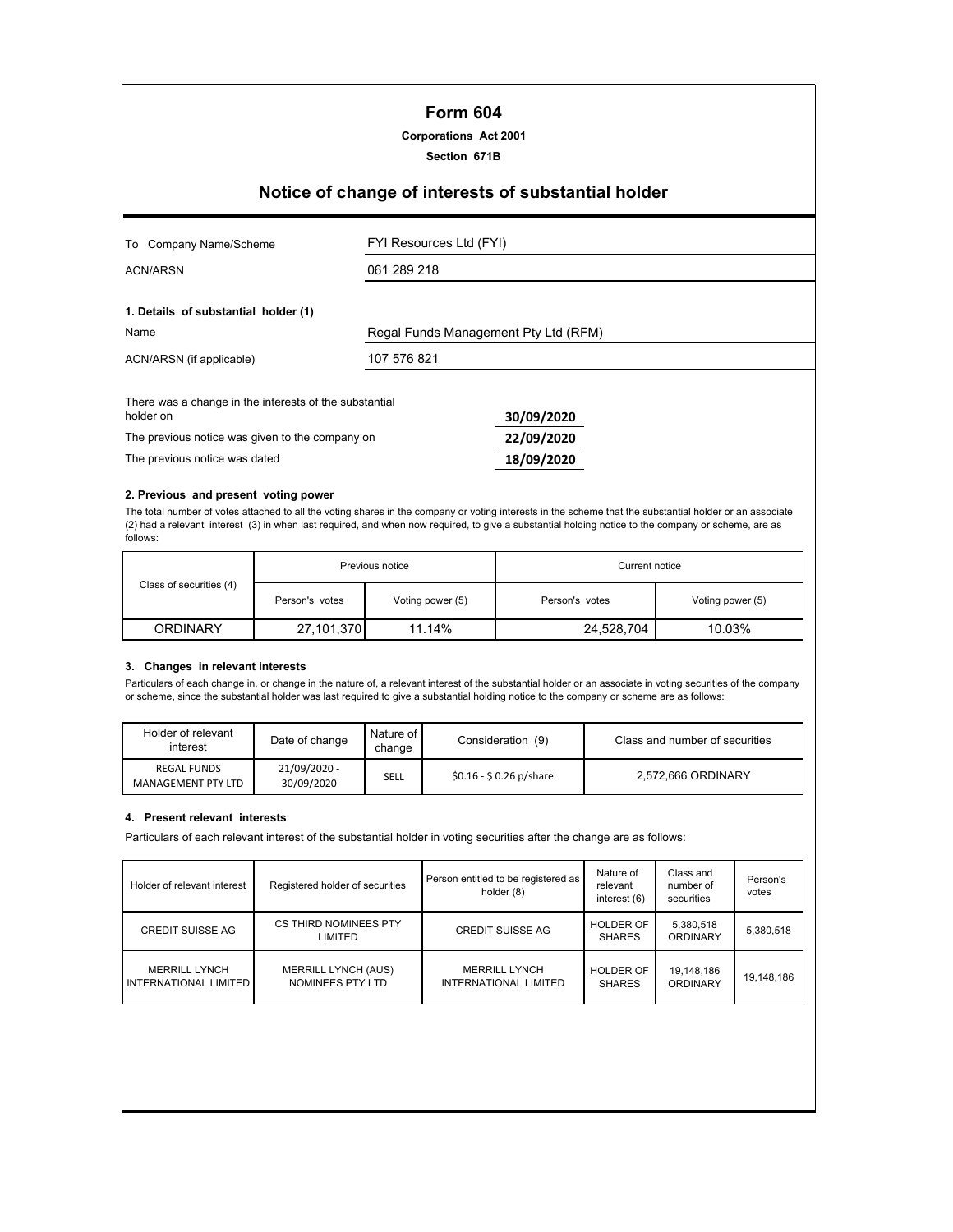# **Form 604**

### **Corporations Act 2001**

**Section 671B**

# **Notice of change of interests of substantial holder**

| Company Name/Scheme<br>To                                           | FYI Resources Ltd (FYI)              |            |  |
|---------------------------------------------------------------------|--------------------------------------|------------|--|
| ACN/ARSN                                                            | 061 289 218                          |            |  |
| 1. Details of substantial holder (1)                                |                                      |            |  |
| Name                                                                | Regal Funds Management Pty Ltd (RFM) |            |  |
| ACN/ARSN (if applicable)                                            | 107 576 821                          |            |  |
| There was a change in the interests of the substantial<br>holder on |                                      | 30/09/2020 |  |
| The previous notice was given to the company on                     |                                      | 22/09/2020 |  |
| The previous notice was dated                                       |                                      | 18/09/2020 |  |

#### **2. Previous and present voting power**

The total number of votes attached to all the voting shares in the company or voting interests in the scheme that the substantial holder or an associate (2) had a relevant interest (3) in when last required, and when now required, to give a substantial holding notice to the company or scheme, are as follows:

|                         | Previous notice |                  | Current notice |                  |  |
|-------------------------|-----------------|------------------|----------------|------------------|--|
| Class of securities (4) | Person's votes  | Voting power (5) | Person's votes | Voting power (5) |  |
| <b>ORDINARY</b>         | 27,101,370      | 11.14%           | 24,528,704     | 10.03%           |  |

## **3. Changes in relevant interests**

Particulars of each change in, or change in the nature of, a relevant interest of the substantial holder or an associate in voting securities of the company or scheme, since the substantial holder was last required to give a substantial holding notice to the company or scheme are as follows:

| Holder of relevant<br>interest           | Date of change             | Nature of I<br>change | Consideration (9)       | Class and number of securities |
|------------------------------------------|----------------------------|-----------------------|-------------------------|--------------------------------|
| <b>REGAL FUNDS</b><br>MANAGEMENT PTY LTD | 21/09/2020 -<br>30/09/2020 | SELL                  | $$0.16 - $0.26$ p/share | 2,572,666 ORDINARY             |

#### **4. Present relevant interests**

Particulars of each relevant interest of the substantial holder in voting securities after the change are as follows:

| Holder of relevant interest                          | Registered holder of securities                | Person entitled to be registered as<br>holder (8) | Nature of<br>relevant<br>interest (6) | Class and<br>number of<br>securities | Person's<br>votes |
|------------------------------------------------------|------------------------------------------------|---------------------------------------------------|---------------------------------------|--------------------------------------|-------------------|
| <b>CREDIT SUISSE AG</b>                              | CS THIRD NOMINEES PTY<br>LIMITED               | <b>CREDIT SUISSE AG</b>                           | <b>HOLDER OF</b><br><b>SHARES</b>     | 5,380,518<br><b>ORDINARY</b>         | 5,380,518         |
| <b>MERRILL LYNCH</b><br><b>INTERNATIONAL LIMITED</b> | <b>MERRILL LYNCH (AUS)</b><br>NOMINEES PTY LTD | <b>MERRILL LYNCH</b><br>INTERNATIONAL LIMITED     | <b>HOLDER OF</b><br><b>SHARES</b>     | 19,148,186<br><b>ORDINARY</b>        | 19,148,186        |